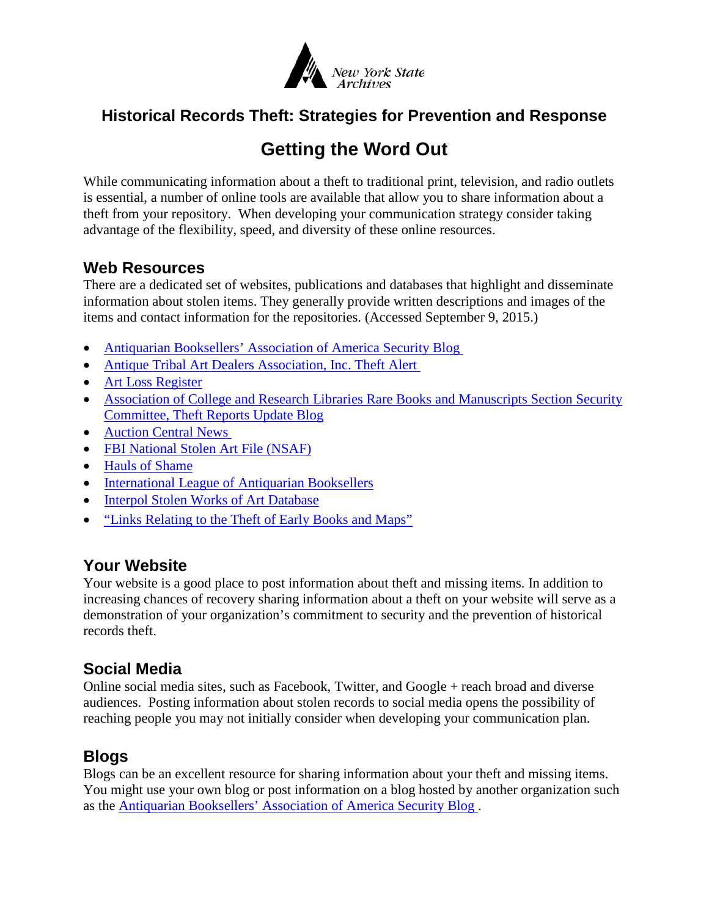

## **Historical Records Theft: Strategies for Prevention and Response**

# **Getting the Word Out**

While communicating information about a theft to traditional print, television, and radio outlets is essential, a number of online tools are available that allow you to share information about a theft from your repository. When developing your communication strategy consider taking advantage of the flexibility, speed, and diversity of these online resources.

### **Web Resources**

There are a dedicated set of websites, publications and databases that highlight and disseminate information about stolen items. They generally provide written descriptions and images of the items and contact information for the repositories. (Accessed September 9, 2015.)

- [Antiquarian Booksellers' Association of](http://www.abaa.org/blog/category/security) America Security Blog
- [Antique Tribal Art Dealers Association, Inc. Theft Alert](https://www.atada.org/theft-alert/)
- [Art Loss Register](http://www.artloss.com/)
- Association of College and Research Libraries Rare Books and Manuscripts Section Security [Committee, Theft Reports Update Blog](http://rbms.info/theft-reports/)
- [Auction Central News](https://www.liveauctioneers.com/news/top-news/crime-and-litigation/)
- [FBI National Stolen Art File \(NSAF\)](http://www.fbi.gov/about-us/investigate/vc_majorthefts/arttheft/national-stolen-art-file)
- [Hauls of Shame](http://haulsofshame.com/blog/)
- [International League of Antiquarian Booksellers](http://www.stolen-book.org/)
- [Interpol Stolen Works of Art Database](http://www.interpol.int/Public/WorkOfArt/Default.asp)
- ["Links Relating to the Theft of Early Books and Maps"](http://www.maphistory.info/theftlinks.html)

## **Your Website**

Your website is a good place to post information about theft and missing items. In addition to increasing chances of recovery sharing information about a theft on your website will serve as a demonstration of your organization's commitment to security and the prevention of historical records theft.

### **Social Media**

Online social media sites, such as Facebook, Twitter, and Google + reach broad and diverse audiences. Posting information about stolen records to social media opens the possibility of reaching people you may not initially consider when developing your communication plan.

### **Blogs**

Blogs can be an excellent resource for sharing information about your theft and missing items. You might use your own blog or post information on a blog hosted by another organization such as the [Antiquarian Booksellers' Association of America Security Blog .](http://www.abaa.org/blog/category/security)